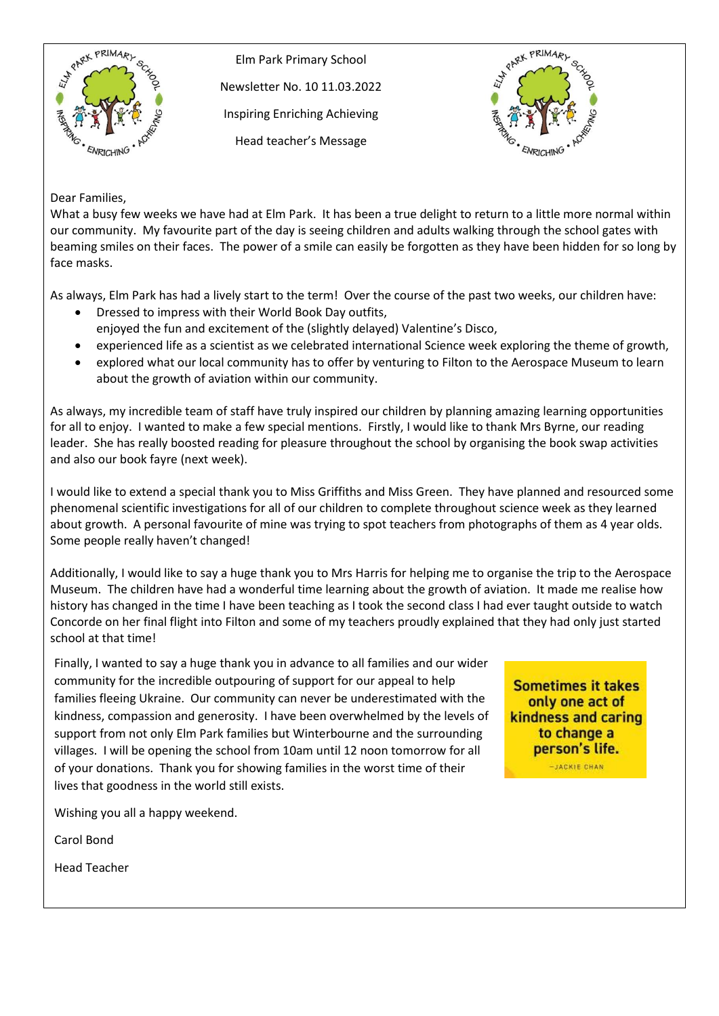

Elm Park Primary School Newsletter No. 10 11.03.2022 Inspiring Enriching Achieving Head teacher's Message



Dear Families,

What a busy few weeks we have had at Elm Park. It has been a true delight to return to a little more normal within our community. My favourite part of the day is seeing children and adults walking through the school gates with beaming smiles on their faces. The power of a smile can easily be forgotten as they have been hidden for so long by face masks.

As always, Elm Park has had a lively start to the term! Over the course of the past two weeks, our children have:

- Dressed to impress with their World Book Day outfits,
	- enjoyed the fun and excitement of the (slightly delayed) Valentine's Disco,
- experienced life as a scientist as we celebrated international Science week exploring the theme of growth,
- explored what our local community has to offer by venturing to Filton to the Aerospace Museum to learn about the growth of aviation within our community.

As always, my incredible team of staff have truly inspired our children by planning amazing learning opportunities for all to enjoy. I wanted to make a few special mentions. Firstly, I would like to thank Mrs Byrne, our reading leader. She has really boosted reading for pleasure throughout the school by organising the book swap activities and also our book fayre (next week).

I would like to extend a special thank you to Miss Griffiths and Miss Green. They have planned and resourced some phenomenal scientific investigations for all of our children to complete throughout science week as they learned about growth. A personal favourite of mine was trying to spot teachers from photographs of them as 4 year olds. Some people really haven't changed!

Additionally, I would like to say a huge thank you to Mrs Harris for helping me to organise the trip to the Aerospace Museum. The children have had a wonderful time learning about the growth of aviation. It made me realise how history has changed in the time I have been teaching as I took the second class I had ever taught outside to watch Concorde on her final flight into Filton and some of my teachers proudly explained that they had only just started school at that time!

Finally, I wanted to say a huge thank you in advance to all families and our wider community for the incredible outpouring of support for our appeal to help families fleeing Ukraine. Our community can never be underestimated with the kindness, compassion and generosity. I have been overwhelmed by the levels of support from not only Elm Park families but Winterbourne and the surrounding villages. I will be opening the school from 10am until 12 noon tomorrow for all of your donations. Thank you for showing families in the worst time of their lives that goodness in the world still exists.

Wishing you all a happy weekend.

Carol Bond

Head Teacher

**Sometimes it takes** only one act of kindness and caring to change a person's life. -JACKIE CHAN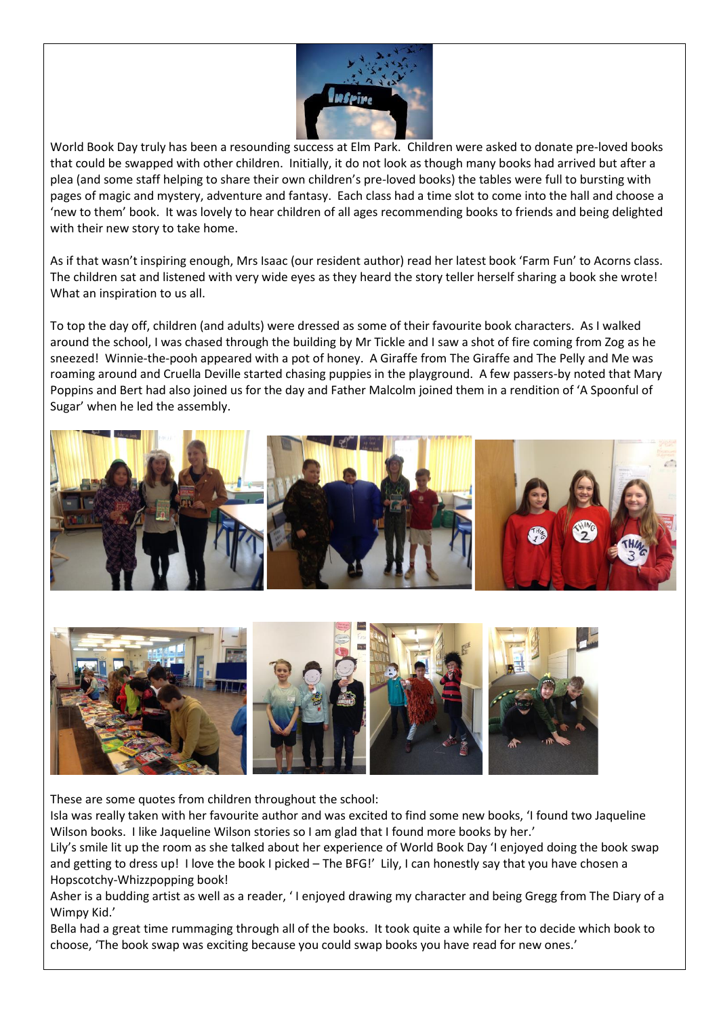

World Book Day truly has been a resounding success at Elm Park. Children were asked to donate pre-loved books that could be swapped with other children. Initially, it do not look as though many books had arrived but after a plea (and some staff helping to share their own children's pre-loved books) the tables were full to bursting with pages of magic and mystery, adventure and fantasy. Each class had a time slot to come into the hall and choose a 'new to them' book. It was lovely to hear children of all ages recommending books to friends and being delighted with their new story to take home.

As if that wasn't inspiring enough, Mrs Isaac (our resident author) read her latest book 'Farm Fun' to Acorns class. The children sat and listened with very wide eyes as they heard the story teller herself sharing a book she wrote! What an inspiration to us all.

To top the day off, children (and adults) were dressed as some of their favourite book characters. As I walked around the school, I was chased through the building by Mr Tickle and I saw a shot of fire coming from Zog as he sneezed! Winnie-the-pooh appeared with a pot of honey. A Giraffe from The Giraffe and The Pelly and Me was roaming around and Cruella Deville started chasing puppies in the playground. A few passers-by noted that Mary Poppins and Bert had also joined us for the day and Father Malcolm joined them in a rendition of 'A Spoonful of Sugar' when he led the assembly.





These are some quotes from children throughout the school:

Isla was really taken with her favourite author and was excited to find some new books, 'I found two Jaqueline Wilson books. I like Jaqueline Wilson stories so I am glad that I found more books by her.'

Lily's smile lit up the room as she talked about her experience of World Book Day 'I enjoyed doing the book swap and getting to dress up! I love the book I picked - The BFG!' Lily, I can honestly say that you have chosen a Hopscotchy-Whizzpopping book!

Asher is a budding artist as well as a reader, ' I enjoyed drawing my character and being Gregg from The Diary of a Wimpy Kid.'

Bella had a great time rummaging through all of the books. It took quite a while for her to decide which book to choose, 'The book swap was exciting because you could swap books you have read for new ones.'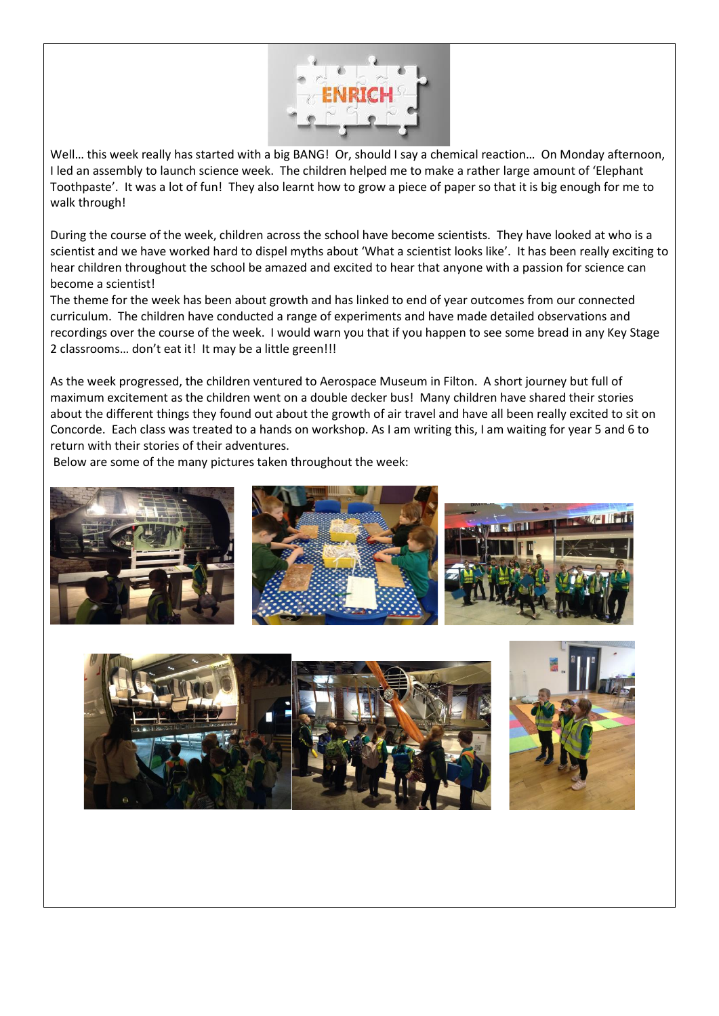

Well... this week really has started with a big BANG! Or, should I say a chemical reaction... On Monday afternoon, I led an assembly to launch science week. The children helped me to make a rather large amount of 'Elephant Toothpaste'. It was a lot of fun! They also learnt how to grow a piece of paper so that it is big enough for me to walk through!

During the course of the week, children across the school have become scientists. They have looked at who is a scientist and we have worked hard to dispel myths about 'What a scientist looks like'. It has been really exciting to hear children throughout the school be amazed and excited to hear that anyone with a passion for science can become a scientist!

The theme for the week has been about growth and has linked to end of year outcomes from our connected curriculum. The children have conducted a range of experiments and have made detailed observations and recordings over the course of the week. I would warn you that if you happen to see some bread in any Key Stage 2 classrooms… don't eat it! It may be a little green!!!

As the week progressed, the children ventured to Aerospace Museum in Filton. A short journey but full of maximum excitement as the children went on a double decker bus! Many children have shared their stories about the different things they found out about the growth of air travel and have all been really excited to sit on Concorde. Each class was treated to a hands on workshop. As I am writing this, I am waiting for year 5 and 6 to return with their stories of their adventures.

Below are some of the many pictures taken throughout the week:





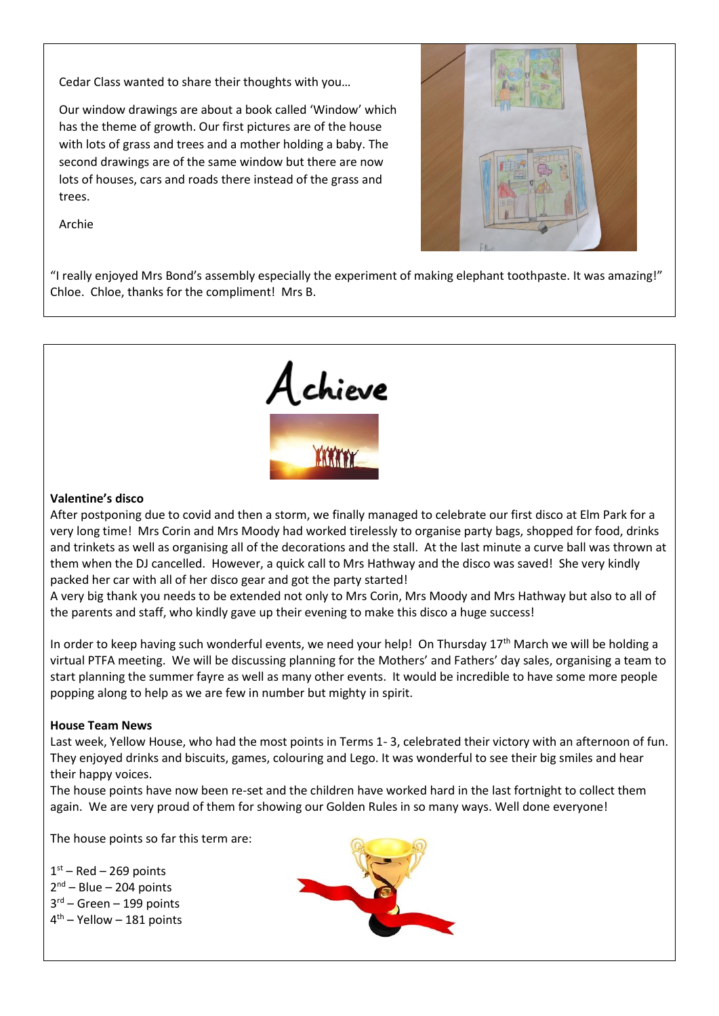Cedar Class wanted to share their thoughts with you…

Our window drawings are about a book called 'Window' which has the theme of growth. Our first pictures are of the house with lots of grass and trees and a mother holding a baby. The second drawings are of the same window but there are now lots of houses, cars and roads there instead of the grass and trees.



Archie

"I really enjoyed Mrs Bond's assembly especially the experiment of making elephant toothpaste. It was amazing!" Chloe. Chloe, thanks for the compliment! Mrs B.



## **Valentine's disco**

After postponing due to covid and then a storm, we finally managed to celebrate our first disco at Elm Park for a very long time! Mrs Corin and Mrs Moody had worked tirelessly to organise party bags, shopped for food, drinks and trinkets as well as organising all of the decorations and the stall. At the last minute a curve ball was thrown at them when the DJ cancelled. However, a quick call to Mrs Hathway and the disco was saved! She very kindly packed her car with all of her disco gear and got the party started!

A very big thank you needs to be extended not only to Mrs Corin, Mrs Moody and Mrs Hathway but also to all of the parents and staff, who kindly gave up their evening to make this disco a huge success!

In order to keep having such wonderful events, we need your help! On Thursday  $17<sup>th</sup>$  March we will be holding a virtual PTFA meeting. We will be discussing planning for the Mothers' and Fathers' day sales, organising a team to start planning the summer fayre as well as many other events. It would be incredible to have some more people popping along to help as we are few in number but mighty in spirit.

## **House Team News**

Last week, Yellow House, who had the most points in Terms 1- 3, celebrated their victory with an afternoon of fun. They enjoyed drinks and biscuits, games, colouring and Lego. It was wonderful to see their big smiles and hear their happy voices.

The house points have now been re-set and the children have worked hard in the last fortnight to collect them again. We are very proud of them for showing our Golden Rules in so many ways. Well done everyone!

The house points so far this term are:

 $1<sup>st</sup>$  – Red – 269 points 2<sup>nd</sup> – Blue – 204 points 3<sup>rd</sup> – Green – 199 points 4 th – Yellow – 181 points